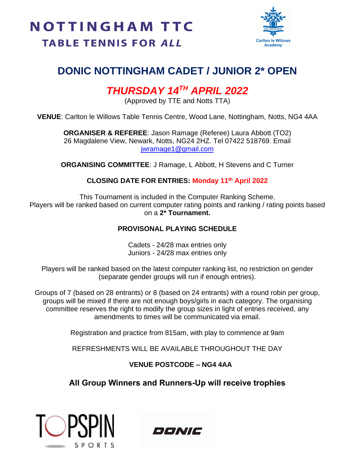

## **DONIC NOTTINGHAM CADET / JUNIOR 2\* OPEN**

## *THURSDAY 14TH APRIL 2022*

(Approved by TTE and Notts TTA)

**VENUE**: Carlton le Willows Table Tennis Centre, Wood Lane, Nottingham, Notts, NG4 4AA

**ORGANISER & REFEREE**: Jason Ramage (Referee) Laura Abbott (TO2) 26 Magdalene View, Newark, Notts, NG24 2HZ. Tel 07422 518769. Email [jwramage1@gmail.com](mailto:jwramage1@gmail.com)

**ORGANISING COMMITTEE**: J Ramage, L Abbott, H Stevens and C Turner

#### **CLOSING DATE FOR ENTRIES: Monday 11th April 2022**

This Tournament is included in the Computer Ranking Scheme. Players will be ranked based on current computer rating points and ranking / rating points based on a **2\* Tournament.**

#### **PROVISONAL PLAYING SCHEDULE**

Cadets - 24/28 max entries only Juniors - 24/28 max entries only

Players will be ranked based on the latest computer ranking list, no restriction on gender (separate gender groups will run if enough entries).

Groups of 7 (based on 28 entrants) or 8 (based on 24 entrants) with a round robin per group, groups will be mixed if there are not enough boys/girls in each category. The organising committee reserves the right to modify the group sizes in light of entries received, any amendments to times will be communicated via email.

Registration and practice from 815am, with play to commence at 9am

REFRESHMENTS WILL BE AVAILABLE THROUGHOUT THE DAY

#### **VENUE POSTCODE – NG4 4AA**

### **All Group Winners and Runners-Up will receive trophies**



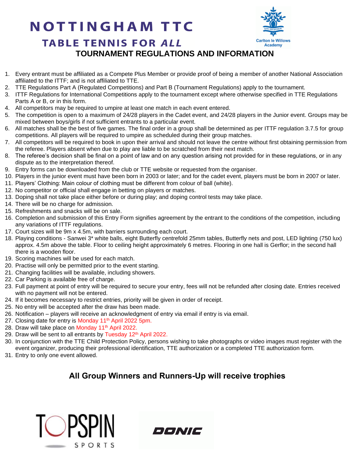# **NOTTINGHAM TTC**



### **TABLE TENNIS FOR ALL TOURNAMENT REGULATIONS AND INFORMATION**

- 1. Every entrant must be affiliated as a Compete Plus Member or provide proof of being a member of another National Association affiliated to the ITTF; and is not affiliated to TTE.
- 2. TTE Regulations Part A (Regulated Competitions) and Part B (Tournament Regulations) apply to the tournament.
- 3. ITTF Regulations for International Competitions apply to the tournament except where otherwise specified in TTE Regulations Parts A or B, or in this form.
- 4. All competitors may be required to umpire at least one match in each event entered.
- 5. The competition is open to a maximum of 24/28 players in the Cadet event, and 24/28 players in the Junior event. Groups may be mixed between boys/girls if not sufficient entrants to a particular event.
- 6. All matches shall be the best of five games. The final order in a group shall be determined as per ITTF regulation 3.7.5 for group competitions. All players will be required to umpire as scheduled during their group matches.
- 7. All competitors will be required to book in upon their arrival and should not leave the centre without first obtaining permission from the referee. Players absent when due to play are liable to be scratched from their next match.
- 8. The referee's decision shall be final on a point of law and on any question arising not provided for in these regulations, or in any dispute as to the interpretation thereof.
- 9. Entry forms can be downloaded from the club or TTE website or requested from the organiser.
- 10. Players in the junior event must have been born in 2003 or later; and for the cadet event, players must be born in 2007 or later.
- 11. Players' Clothing: Main colour of clothing must be different from colour of ball (white).
- 12. No competitor or official shall engage in betting on players or matches.
- 13. Doping shall not take place either before or during play; and doping control tests may take place.
- 14. There will be no charge for admission.
- 15. Refreshments and snacks will be on sale.
- 16. Completion and submission of this Entry Form signifies agreement by the entrant to the conditions of the competition, including any variations of ITTF regulations.
- 17. Court sizes will be 9m x 4.5m, with barriers surrounding each court.
- 18. Playing conditions Sanwei 3\* white balls, eight Butterfly centrefold 25mm tables, Butterfly nets and post, LED lighting (750 lux) approx. 4.5m above the table. Floor to ceiling height approximately 6 metres. Flooring in one hall is Gerflor; in the second hall there is a wooden floor.
- 19. Scoring machines will be used for each match.
- 20. Practise will only be permitted prior to the event starting.
- 21. Changing facilities will be available, including showers.
- 22. Car Parking is available free of charge.
- 23. Full payment at point of entry will be required to secure your entry, fees will not be refunded after closing date. Entries received with no payment will not be entered.
- 24. If it becomes necessary to restrict entries, priority will be given in order of receipt.
- 25. No entry will be accepted after the draw has been made.
- 26. Notification players will receive an acknowledgment of entry via email if entry is via email.
- 27. Closing date for entry is Monday 11<sup>th</sup> April 2022 5pm.
- 28. Draw will take place on Monday 11<sup>th</sup> April 2022.
- 29. Draw will be sent to all entrants by Tuesday 12<sup>th</sup> April 2022.
- 30. In conjunction with the TTE Child Protection Policy, persons wishing to take photographs or video images must register with the event organizer, producing their professional identification, TTE authorization or a completed TTE authorization form.
- 31. Entry to only one event allowed.

#### **All Group Winners and Runners-Up will receive trophies**